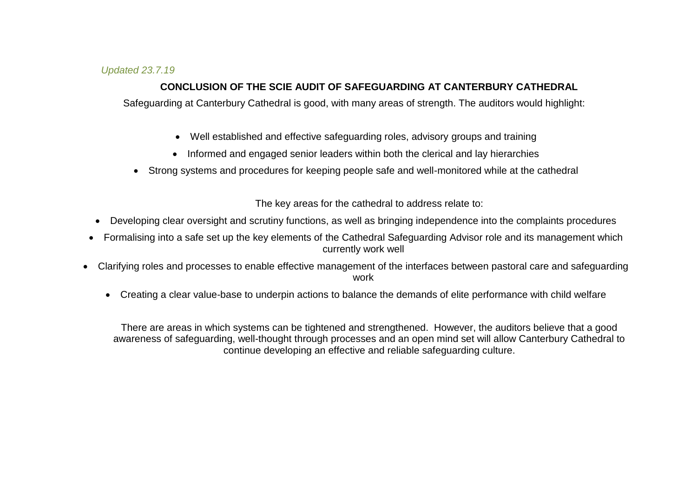## *Updated 23.7.19*

## **CONCLUSION OF THE SCIE AUDIT OF SAFEGUARDING AT CANTERBURY CATHEDRAL**

Safeguarding at Canterbury Cathedral is good, with many areas of strength. The auditors would highlight:

- Well established and effective safeguarding roles, advisory groups and training
- Informed and engaged senior leaders within both the clerical and lay hierarchies
- Strong systems and procedures for keeping people safe and well-monitored while at the cathedral

The key areas for the cathedral to address relate to:

- Developing clear oversight and scrutiny functions, as well as bringing independence into the complaints procedures
- Formalising into a safe set up the key elements of the Cathedral Safeguarding Advisor role and its management which currently work well
- Clarifying roles and processes to enable effective management of the interfaces between pastoral care and safeguarding work
	- Creating a clear value-base to underpin actions to balance the demands of elite performance with child welfare

There are areas in which systems can be tightened and strengthened. However, the auditors believe that a good awareness of safeguarding, well-thought through processes and an open mind set will allow Canterbury Cathedral to continue developing an effective and reliable safeguarding culture.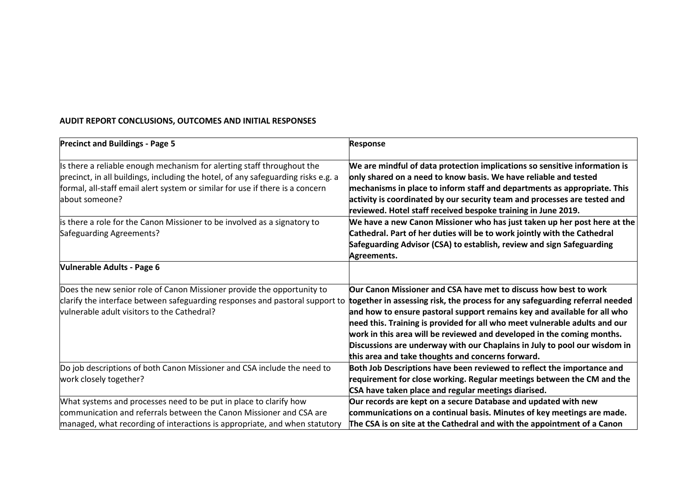## **AUDIT REPORT CONCLUSIONS, OUTCOMES AND INITIAL RESPONSES**

| <b>Precinct and Buildings - Page 5</b>                                                                                                                                                                                                                         | <b>Response</b>                                                                                                                                                                                                                                                                                                                                                                                                                                                                                                        |
|----------------------------------------------------------------------------------------------------------------------------------------------------------------------------------------------------------------------------------------------------------------|------------------------------------------------------------------------------------------------------------------------------------------------------------------------------------------------------------------------------------------------------------------------------------------------------------------------------------------------------------------------------------------------------------------------------------------------------------------------------------------------------------------------|
| Is there a reliable enough mechanism for alerting staff throughout the<br>precinct, in all buildings, including the hotel, of any safeguarding risks e.g. a<br>formal, all-staff email alert system or similar for use if there is a concern<br>about someone? | We are mindful of data protection implications so sensitive information is<br>only shared on a need to know basis. We have reliable and tested<br>mechanisms in place to inform staff and departments as appropriate. This<br>activity is coordinated by our security team and processes are tested and<br>reviewed. Hotel staff received bespoke training in June 2019.                                                                                                                                               |
| is there a role for the Canon Missioner to be involved as a signatory to<br>Safeguarding Agreements?                                                                                                                                                           | We have a new Canon Missioner who has just taken up her post here at the<br>Cathedral. Part of her duties will be to work jointly with the Cathedral<br>Safeguarding Advisor (CSA) to establish, review and sign Safeguarding<br>Agreements.                                                                                                                                                                                                                                                                           |
| <b>Vulnerable Adults - Page 6</b>                                                                                                                                                                                                                              |                                                                                                                                                                                                                                                                                                                                                                                                                                                                                                                        |
| Does the new senior role of Canon Missioner provide the opportunity to<br>clarify the interface between safeguarding responses and pastoral support to<br>vulnerable adult visitors to the Cathedral?                                                          | Our Canon Missioner and CSA have met to discuss how best to work<br>together in assessing risk, the process for any safeguarding referral needed<br>and how to ensure pastoral support remains key and available for all who<br>need this. Training is provided for all who meet vulnerable adults and our<br>work in this area will be reviewed and developed in the coming months.<br>Discussions are underway with our Chaplains in July to pool our wisdom in<br>this area and take thoughts and concerns forward. |
| Do job descriptions of both Canon Missioner and CSA include the need to<br>work closely together?                                                                                                                                                              | Both Job Descriptions have been reviewed to reflect the importance and<br>requirement for close working. Regular meetings between the CM and the<br>CSA have taken place and regular meetings diarised.                                                                                                                                                                                                                                                                                                                |
| What systems and processes need to be put in place to clarify how<br>communication and referrals between the Canon Missioner and CSA are<br>managed, what recording of interactions is appropriate, and when statutory                                         | Our records are kept on a secure Database and updated with new<br>communications on a continual basis. Minutes of key meetings are made.<br>The CSA is on site at the Cathedral and with the appointment of a Canon                                                                                                                                                                                                                                                                                                    |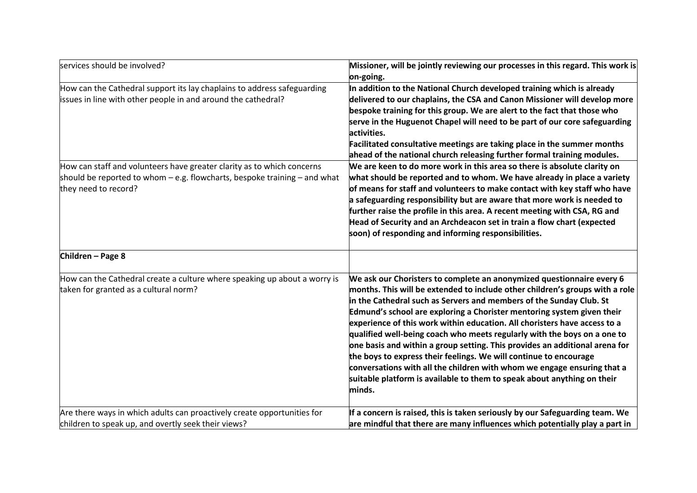| services should be involved?                                                                                                                                                    | Missioner, will be jointly reviewing our processes in this regard. This work is<br>on-going.                                                                                                                                                                                                                                                                                                                                                                                                                                                                                                                                                                                                                                                                                        |
|---------------------------------------------------------------------------------------------------------------------------------------------------------------------------------|-------------------------------------------------------------------------------------------------------------------------------------------------------------------------------------------------------------------------------------------------------------------------------------------------------------------------------------------------------------------------------------------------------------------------------------------------------------------------------------------------------------------------------------------------------------------------------------------------------------------------------------------------------------------------------------------------------------------------------------------------------------------------------------|
| How can the Cathedral support its lay chaplains to address safeguarding<br>issues in line with other people in and around the cathedral?                                        | In addition to the National Church developed training which is already<br>delivered to our chaplains, the CSA and Canon Missioner will develop more<br>bespoke training for this group. We are alert to the fact that those who<br>serve in the Huguenot Chapel will need to be part of our core safeguarding<br>activities.<br>Facilitated consultative meetings are taking place in the summer months<br>ahead of the national church releasing further formal training modules.                                                                                                                                                                                                                                                                                                  |
| How can staff and volunteers have greater clarity as to which concerns<br>should be reported to whom $-$ e.g. flowcharts, bespoke training $-$ and what<br>they need to record? | We are keen to do more work in this area so there is absolute clarity on<br>what should be reported and to whom. We have already in place a variety<br>of means for staff and volunteers to make contact with key staff who have<br>a safeguarding responsibility but are aware that more work is needed to<br>further raise the profile in this area. A recent meeting with CSA, RG and<br>Head of Security and an Archdeacon set in train a flow chart (expected<br>soon) of responding and informing responsibilities.                                                                                                                                                                                                                                                           |
| Children - Page 8                                                                                                                                                               |                                                                                                                                                                                                                                                                                                                                                                                                                                                                                                                                                                                                                                                                                                                                                                                     |
| How can the Cathedral create a culture where speaking up about a worry is<br>taken for granted as a cultural norm?                                                              | We ask our Choristers to complete an anonymized questionnaire every 6<br>months. This will be extended to include other children's groups with a role<br>in the Cathedral such as Servers and members of the Sunday Club. St<br>Edmund's school are exploring a Chorister mentoring system given their<br>experience of this work within education. All choristers have access to a<br>qualified well-being coach who meets regularly with the boys on a one to<br>one basis and within a group setting. This provides an additional arena for<br>the boys to express their feelings. We will continue to encourage<br>conversations with all the children with whom we engage ensuring that a<br>suitable platform is available to them to speak about anything on their<br>minds. |
| Are there ways in which adults can proactively create opportunities for<br>children to speak up, and overtly seek their views?                                                  | If a concern is raised, this is taken seriously by our Safeguarding team. We<br>are mindful that there are many influences which potentially play a part in                                                                                                                                                                                                                                                                                                                                                                                                                                                                                                                                                                                                                         |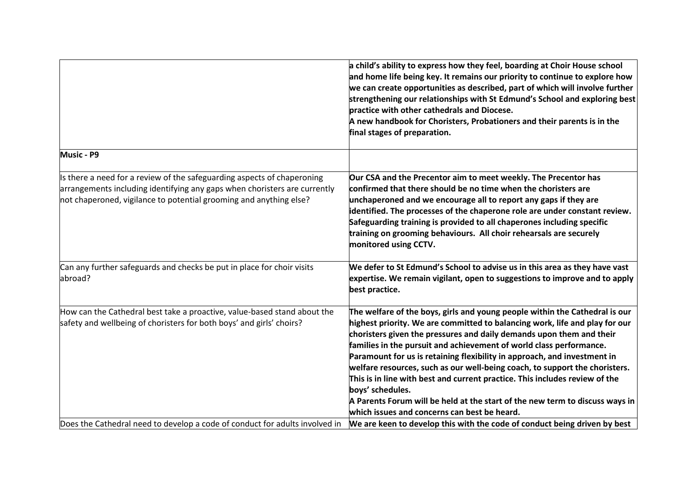|                                                                                                                                                                                                                            | a child's ability to express how they feel, boarding at Choir House school<br>and home life being key. It remains our priority to continue to explore how<br>we can create opportunities as described, part of which will involve further<br>strengthening our relationships with St Edmund's School and exploring best<br>practice with other cathedrals and Diocese.<br>A new handbook for Choristers, Probationers and their parents is in the<br>final stages of preparation.                                                                                                                                                                                                                       |
|----------------------------------------------------------------------------------------------------------------------------------------------------------------------------------------------------------------------------|---------------------------------------------------------------------------------------------------------------------------------------------------------------------------------------------------------------------------------------------------------------------------------------------------------------------------------------------------------------------------------------------------------------------------------------------------------------------------------------------------------------------------------------------------------------------------------------------------------------------------------------------------------------------------------------------------------|
| <b>Music - P9</b>                                                                                                                                                                                                          |                                                                                                                                                                                                                                                                                                                                                                                                                                                                                                                                                                                                                                                                                                         |
| Is there a need for a review of the safeguarding aspects of chaperoning<br>arrangements including identifying any gaps when choristers are currently<br>not chaperoned, vigilance to potential grooming and anything else? | Our CSA and the Precentor aim to meet weekly. The Precentor has<br>confirmed that there should be no time when the choristers are<br>unchaperoned and we encourage all to report any gaps if they are<br>identified. The processes of the chaperone role are under constant review.<br>Safeguarding training is provided to all chaperones including specific<br>training on grooming behaviours. All choir rehearsals are securely<br>monitored using CCTV.                                                                                                                                                                                                                                            |
| Can any further safeguards and checks be put in place for choir visits<br>abroad?                                                                                                                                          | We defer to St Edmund's School to advise us in this area as they have vast<br>expertise. We remain vigilant, open to suggestions to improve and to apply<br>best practice.                                                                                                                                                                                                                                                                                                                                                                                                                                                                                                                              |
| How can the Cathedral best take a proactive, value-based stand about the<br>safety and wellbeing of choristers for both boys' and girls' choirs?                                                                           | The welfare of the boys, girls and young people within the Cathedral is our<br>highest priority. We are committed to balancing work, life and play for our<br>choristers given the pressures and daily demands upon them and their<br>families in the pursuit and achievement of world class performance.<br>Paramount for us is retaining flexibility in approach, and investment in<br>welfare resources, such as our well-being coach, to support the choristers.<br>This is in line with best and current practice. This includes review of the<br>boys' schedules.<br>A Parents Forum will be held at the start of the new term to discuss ways in<br>which issues and concerns can best be heard. |
| Does the Cathedral need to develop a code of conduct for adults involved in                                                                                                                                                | We are keen to develop this with the code of conduct being driven by best                                                                                                                                                                                                                                                                                                                                                                                                                                                                                                                                                                                                                               |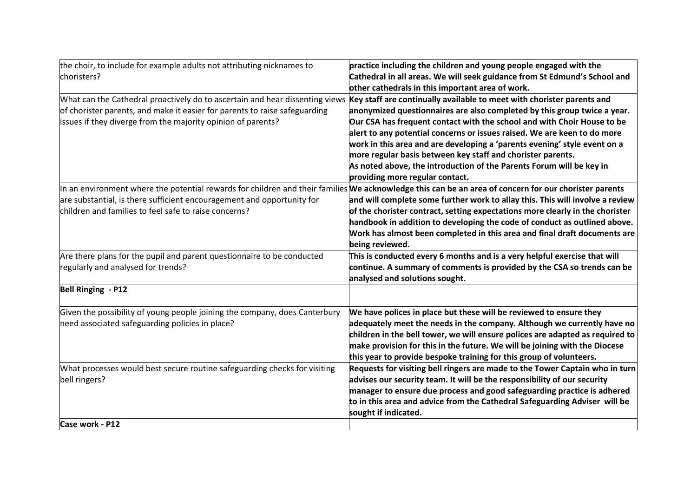| the choir, to include for example adults not attributing nicknames to                                                                                 | practice including the children and young people engaged with the             |
|-------------------------------------------------------------------------------------------------------------------------------------------------------|-------------------------------------------------------------------------------|
| choristers?                                                                                                                                           | Cathedral in all areas. We will seek guidance from St Edmund's School and     |
|                                                                                                                                                       | other cathedrals in this important area of work.                              |
| What can the Cathedral proactively do to ascertain and hear dissenting views                                                                          | Key staff are continually available to meet with chorister parents and        |
| of chorister parents, and make it easier for parents to raise safeguarding                                                                            | anonymized questionnaires are also completed by this group twice a year.      |
| issues if they diverge from the majority opinion of parents?                                                                                          | Our CSA has frequent contact with the school and with Choir House to be       |
|                                                                                                                                                       | alert to any potential concerns or issues raised. We are keen to do more      |
|                                                                                                                                                       | work in this area and are developing a 'parents evening' style event on a     |
|                                                                                                                                                       | more regular basis between key staff and chorister parents.                   |
|                                                                                                                                                       | As noted above, the introduction of the Parents Forum will be key in          |
|                                                                                                                                                       | providing more regular contact.                                               |
| In an environment where the potential rewards for children and their families We acknowledge this can be an area of concern for our chorister parents |                                                                               |
| are substantial, is there sufficient encouragement and opportunity for                                                                                | and will complete some further work to allay this. This will involve a review |
| children and families to feel safe to raise concerns?                                                                                                 | of the chorister contract, setting expectations more clearly in the chorister |
|                                                                                                                                                       | handbook in addition to developing the code of conduct as outlined above.     |
|                                                                                                                                                       | Work has almost been completed in this area and final draft documents are     |
|                                                                                                                                                       | being reviewed.                                                               |
| Are there plans for the pupil and parent questionnaire to be conducted                                                                                | This is conducted every 6 months and is a very helpful exercise that will     |
| regularly and analysed for trends?                                                                                                                    | continue. A summary of comments is provided by the CSA so trends can be       |
|                                                                                                                                                       | analysed and solutions sought.                                                |
| <b>Bell Ringing - P12</b>                                                                                                                             |                                                                               |
| Given the possibility of young people joining the company, does Canterbury                                                                            | We have polices in place but these will be reviewed to ensure they            |
| need associated safeguarding policies in place?                                                                                                       | adequately meet the needs in the company. Although we currently have no       |
|                                                                                                                                                       | children in the bell tower, we will ensure polices are adapted as required to |
|                                                                                                                                                       | make provision for this in the future. We will be joining with the Diocese    |
|                                                                                                                                                       | this year to provide bespoke training for this group of volunteers.           |
| What processes would best secure routine safeguarding checks for visiting                                                                             | Requests for visiting bell ringers are made to the Tower Captain who in turn  |
| bell ringers?                                                                                                                                         | advises our security team. It will be the responsibility of our security      |
|                                                                                                                                                       | manager to ensure due process and good safeguarding practice is adhered       |
|                                                                                                                                                       | to in this area and advice from the Cathedral Safeguarding Adviser will be    |
|                                                                                                                                                       | sought if indicated.                                                          |
| Case work - P12                                                                                                                                       |                                                                               |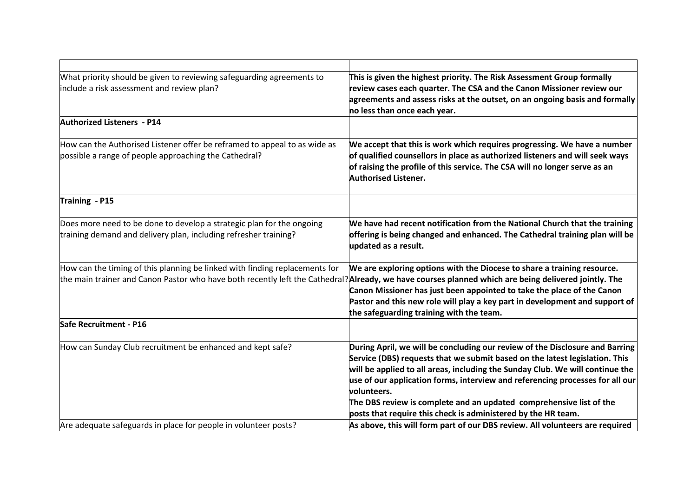| What priority should be given to reviewing safeguarding agreements to<br>include a risk assessment and review plan?                                                                                                                 | This is given the highest priority. The Risk Assessment Group formally<br>review cases each quarter. The CSA and the Canon Missioner review our<br>agreements and assess risks at the outset, on an ongoing basis and formally<br>no less than once each year.                                                                                                                                                                                                                       |
|-------------------------------------------------------------------------------------------------------------------------------------------------------------------------------------------------------------------------------------|--------------------------------------------------------------------------------------------------------------------------------------------------------------------------------------------------------------------------------------------------------------------------------------------------------------------------------------------------------------------------------------------------------------------------------------------------------------------------------------|
| <b>Authorized Listeners - P14</b>                                                                                                                                                                                                   |                                                                                                                                                                                                                                                                                                                                                                                                                                                                                      |
| How can the Authorised Listener offer be reframed to appeal to as wide as<br>possible a range of people approaching the Cathedral?                                                                                                  | We accept that this is work which requires progressing. We have a number<br>of qualified counsellors in place as authorized listeners and will seek ways<br>of raising the profile of this service. The CSA will no longer serve as an<br><b>Authorised Listener.</b>                                                                                                                                                                                                                |
| Training - P15                                                                                                                                                                                                                      |                                                                                                                                                                                                                                                                                                                                                                                                                                                                                      |
| Does more need to be done to develop a strategic plan for the ongoing<br>training demand and delivery plan, including refresher training?                                                                                           | We have had recent notification from the National Church that the training<br>offering is being changed and enhanced. The Cathedral training plan will be<br>updated as a result.                                                                                                                                                                                                                                                                                                    |
| How can the timing of this planning be linked with finding replacements for<br>the main trainer and Canon Pastor who have both recently left the Cathedral? Already, we have courses planned which are being delivered jointly. The | We are exploring options with the Diocese to share a training resource.<br>Canon Missioner has just been appointed to take the place of the Canon<br>Pastor and this new role will play a key part in development and support of<br>the safeguarding training with the team.                                                                                                                                                                                                         |
| Safe Recruitment - P16                                                                                                                                                                                                              |                                                                                                                                                                                                                                                                                                                                                                                                                                                                                      |
| How can Sunday Club recruitment be enhanced and kept safe?                                                                                                                                                                          | During April, we will be concluding our review of the Disclosure and Barring<br>Service (DBS) requests that we submit based on the latest legislation. This<br>will be applied to all areas, including the Sunday Club. We will continue the<br>use of our application forms, interview and referencing processes for all our<br>volunteers.<br>The DBS review is complete and an updated comprehensive list of the<br>posts that require this check is administered by the HR team. |
| Are adequate safeguards in place for people in volunteer posts?                                                                                                                                                                     | As above, this will form part of our DBS review. All volunteers are required                                                                                                                                                                                                                                                                                                                                                                                                         |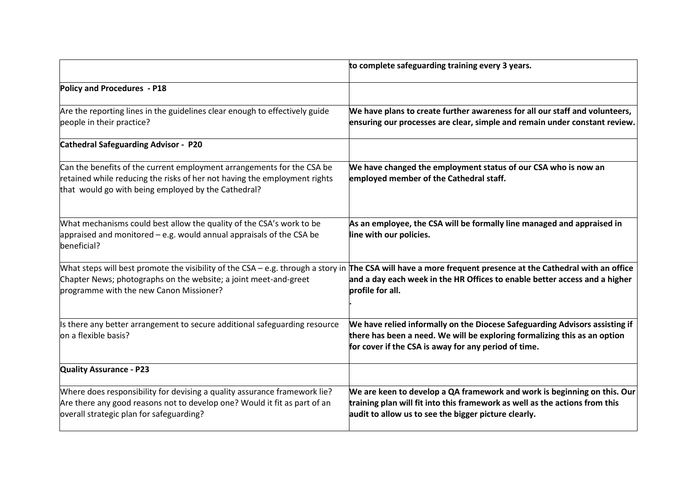|                                                                                                                                                                                                            | to complete safeguarding training every 3 years.                                                                                                                                                                                                              |
|------------------------------------------------------------------------------------------------------------------------------------------------------------------------------------------------------------|---------------------------------------------------------------------------------------------------------------------------------------------------------------------------------------------------------------------------------------------------------------|
| Policy and Procedures - P18                                                                                                                                                                                |                                                                                                                                                                                                                                                               |
| Are the reporting lines in the guidelines clear enough to effectively guide<br>people in their practice?                                                                                                   | We have plans to create further awareness for all our staff and volunteers,<br>ensuring our processes are clear, simple and remain under constant review.                                                                                                     |
| <b>Cathedral Safeguarding Advisor - P20</b>                                                                                                                                                                |                                                                                                                                                                                                                                                               |
| Can the benefits of the current employment arrangements for the CSA be<br>retained while reducing the risks of her not having the employment rights<br>that would go with being employed by the Cathedral? | We have changed the employment status of our CSA who is now an<br>employed member of the Cathedral staff.                                                                                                                                                     |
| What mechanisms could best allow the quality of the CSA's work to be<br>appraised and monitored $-$ e.g. would annual appraisals of the CSA be<br>beneficial?                                              | As an employee, the CSA will be formally line managed and appraised in<br>line with our policies.                                                                                                                                                             |
| Chapter News; photographs on the website; a joint meet-and-greet<br>programme with the new Canon Missioner?                                                                                                | What steps will best promote the visibility of the CSA – e.g. through a story in The CSA will have a more frequent presence at the Cathedral with an office<br>and a day each week in the HR Offices to enable better access and a higher<br>profile for all. |
| Is there any better arrangement to secure additional safeguarding resource<br>on a flexible basis?                                                                                                         | We have relied informally on the Diocese Safeguarding Advisors assisting if<br>there has been a need. We will be exploring formalizing this as an option<br>for cover if the CSA is away for any period of time.                                              |
| <b>Quality Assurance - P23</b>                                                                                                                                                                             |                                                                                                                                                                                                                                                               |
| Where does responsibility for devising a quality assurance framework lie?<br>Are there any good reasons not to develop one? Would it fit as part of an<br>overall strategic plan for safeguarding?         | We are keen to develop a QA framework and work is beginning on this. Our<br>training plan will fit into this framework as well as the actions from this<br>audit to allow us to see the bigger picture clearly.                                               |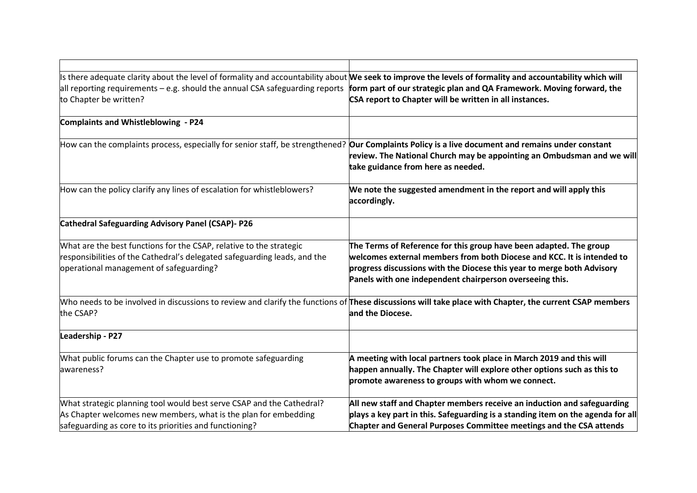| Is there adequate clarity about the level of formality and accountability about We seek to improve the levels of formality and accountability which will<br>all reporting requirements – e.g. should the annual CSA safeguarding reports form part of our strategic plan and QA Framework. Moving forward, the<br>to Chapter be written? | CSA report to Chapter will be written in all instances.                                                                                                                                                                                                                            |
|------------------------------------------------------------------------------------------------------------------------------------------------------------------------------------------------------------------------------------------------------------------------------------------------------------------------------------------|------------------------------------------------------------------------------------------------------------------------------------------------------------------------------------------------------------------------------------------------------------------------------------|
| <b>Complaints and Whistleblowing - P24</b>                                                                                                                                                                                                                                                                                               |                                                                                                                                                                                                                                                                                    |
| How can the complaints process, especially for senior staff, be strengthened? <b>Our Complaints Policy is a live document and remains under constant</b>                                                                                                                                                                                 | review. The National Church may be appointing an Ombudsman and we will<br>take guidance from here as needed.                                                                                                                                                                       |
| How can the policy clarify any lines of escalation for whistleblowers?                                                                                                                                                                                                                                                                   | We note the suggested amendment in the report and will apply this<br>accordingly.                                                                                                                                                                                                  |
| <b>Cathedral Safeguarding Advisory Panel (CSAP)- P26</b>                                                                                                                                                                                                                                                                                 |                                                                                                                                                                                                                                                                                    |
| What are the best functions for the CSAP, relative to the strategic<br>responsibilities of the Cathedral's delegated safeguarding leads, and the<br>operational management of safeguarding?                                                                                                                                              | The Terms of Reference for this group have been adapted. The group<br>welcomes external members from both Diocese and KCC. It is intended to<br>progress discussions with the Diocese this year to merge both Advisory<br>Panels with one independent chairperson overseeing this. |
| Who needs to be involved in discussions to review and clarify the functions of These discussions will take place with Chapter, the current CSAP members<br>the CSAP?                                                                                                                                                                     | and the Diocese.                                                                                                                                                                                                                                                                   |
| Leadership - P27                                                                                                                                                                                                                                                                                                                         |                                                                                                                                                                                                                                                                                    |
| What public forums can the Chapter use to promote safeguarding<br>awareness?                                                                                                                                                                                                                                                             | A meeting with local partners took place in March 2019 and this will<br>happen annually. The Chapter will explore other options such as this to<br>promote awareness to groups with whom we connect.                                                                               |
| What strategic planning tool would best serve CSAP and the Cathedral?<br>As Chapter welcomes new members, what is the plan for embedding<br>safeguarding as core to its priorities and functioning?                                                                                                                                      | All new staff and Chapter members receive an induction and safeguarding<br>plays a key part in this. Safeguarding is a standing item on the agenda for all<br>Chapter and General Purposes Committee meetings and the CSA attends                                                  |